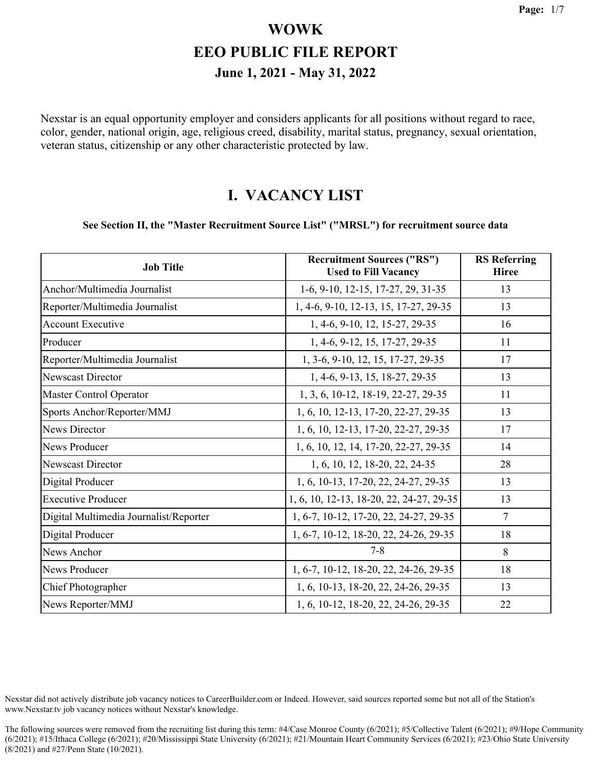Nexstar is an equal opportunity employer and considers applicants for all positions without regard to race, color, gender, national origin, age, religious creed, disability, marital status, pregnancy, sexual orientation, veteran status, citizenship or any other characteristic protected by law.

#### **I. VACANCY LIST**

#### **See Section II, the "Master Recruitment Source List" ("MRSL") for recruitment source data**

| <b>Job Title</b>                       | <b>Recruitment Sources ("RS")</b><br><b>Used to Fill Vacancy</b> | <b>RS</b> Referring<br><b>Hiree</b> |
|----------------------------------------|------------------------------------------------------------------|-------------------------------------|
| Anchor/Multimedia Journalist           | 1-6, 9-10, 12-15, 17-27, 29, 31-35                               | 13                                  |
| Reporter/Multimedia Journalist         | 1, 4-6, 9-10, 12-13, 15, 17-27, 29-35                            | 13                                  |
| <b>Account Executive</b>               | 1, 4-6, 9-10, 12, 15-27, 29-35                                   | 16                                  |
| Producer                               | 1, 4-6, 9-12, 15, 17-27, 29-35                                   | 11                                  |
| Reporter/Multimedia Journalist         | 1, 3-6, 9-10, 12, 15, 17-27, 29-35                               | 17                                  |
| Newscast Director                      | 1, 4-6, 9-13, 15, 18-27, 29-35                                   | 13                                  |
| Master Control Operator                | 1, 3, 6, 10-12, 18-19, 22-27, 29-35                              | 11                                  |
| Sports Anchor/Reporter/MMJ             | 1, 6, 10, 12-13, 17-20, 22-27, 29-35                             | 13                                  |
| News Director                          | 1, 6, 10, 12-13, 17-20, 22-27, 29-35                             | 17                                  |
| News Producer                          | 1, 6, 10, 12, 14, 17-20, 22-27, 29-35                            | 14                                  |
| <b>Newscast Director</b>               | 1, 6, 10, 12, 18-20, 22, 24-35                                   | 28                                  |
| Digital Producer                       | 1, 6, 10-13, 17-20, 22, 24-27, 29-35                             | 13                                  |
| <b>Executive Producer</b>              | 1, 6, 10, 12-13, 18-20, 22, 24-27, 29-35                         | 13                                  |
| Digital Multimedia Journalist/Reporter | 1, 6-7, 10-12, 17-20, 22, 24-27, 29-35                           | $\overline{7}$                      |
| Digital Producer                       | 1, 6-7, 10-12, 18-20, 22, 24-26, 29-35                           | 18                                  |
| News Anchor                            | $7 - 8$                                                          | 8                                   |
| News Producer                          | 1, 6-7, 10-12, 18-20, 22, 24-26, 29-35                           | 18                                  |
| Chief Photographer                     | 1, 6, 10-13, 18-20, 22, 24-26, 29-35                             | 13                                  |
| News Reporter/MMJ                      | 1, 6, 10-12, 18-20, 22, 24-26, 29-35                             | 22                                  |

Nexstar did not actively distribute job vacancy notices to CareerBuilder.com or Indeed. However, said sources reported some but not all of the Station's www.Nexstar.tv job vacancy notices without Nexstar's knowledge.

The following sources were removed from the recruiting list during this term: #4/Case Monroe County (6/2021); #5/Collective Talent (6/2021); #9/Hope Community (6/2021); #15/Ithaca College (6/2021); #20/Mississippi State University (6/2021); #21/Mountain Heart Community Services (6/2021); #23/Ohio State University (8/2021) and #27/Penn State (10/2021).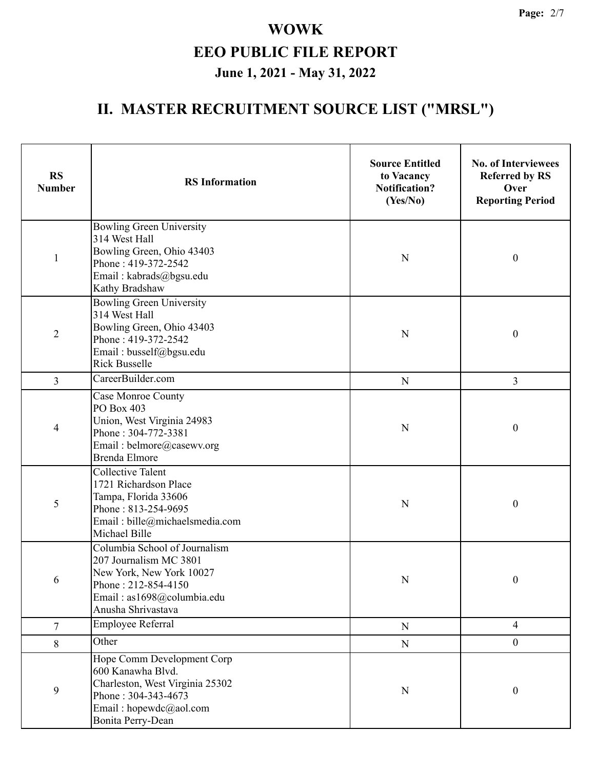| <b>RS</b><br><b>Number</b> | <b>RS</b> Information                                                                                                                                          | <b>Source Entitled</b><br>to Vacancy<br><b>Notification?</b><br>(Yes/No) | <b>No. of Interviewees</b><br><b>Referred by RS</b><br>Over<br><b>Reporting Period</b> |
|----------------------------|----------------------------------------------------------------------------------------------------------------------------------------------------------------|--------------------------------------------------------------------------|----------------------------------------------------------------------------------------|
| $\mathbf{1}$               | <b>Bowling Green University</b><br>314 West Hall<br>Bowling Green, Ohio 43403<br>Phone: 419-372-2542<br>Email: kabrads@bgsu.edu<br>Kathy Bradshaw              | N                                                                        | $\boldsymbol{0}$                                                                       |
| $\overline{2}$             | <b>Bowling Green University</b><br>314 West Hall<br>Bowling Green, Ohio 43403<br>Phone: 419-372-2542<br>Email: busself@bgsu.edu<br><b>Rick Busselle</b>        | $\mathbf N$                                                              | $\boldsymbol{0}$                                                                       |
| $\overline{3}$             | CareerBuilder.com                                                                                                                                              | ${\bf N}$                                                                | 3                                                                                      |
| 4                          | <b>Case Monroe County</b><br>PO Box 403<br>Union, West Virginia 24983<br>Phone: 304-772-3381<br>Email: belmore@casewv.org<br><b>Brenda Elmore</b>              | N                                                                        | $\boldsymbol{0}$                                                                       |
| 5                          | <b>Collective Talent</b><br>1721 Richardson Place<br>Tampa, Florida 33606<br>Phone: 813-254-9695<br>Email: bille@michaelsmedia.com<br>Michael Bille            | N                                                                        | $\boldsymbol{0}$                                                                       |
| 6                          | Columbia School of Journalism<br>207 Journalism MC 3801<br>New York, New York 10027<br>Phone: 212-854-4150<br>Email: as1698@columbia.edu<br>Anusha Shrivastava | N                                                                        | $\boldsymbol{0}$                                                                       |
| $\overline{7}$             | <b>Employee Referral</b>                                                                                                                                       | ${\bf N}$                                                                | $\overline{4}$                                                                         |
| 8                          | Other                                                                                                                                                          | ${\bf N}$                                                                | $\mathbf{0}$                                                                           |
| $\mathbf{9}$               | Hope Comm Development Corp<br>600 Kanawha Blvd.<br>Charleston, West Virginia 25302<br>Phone: 304-343-4673<br>Email: hopewdc@aol.com<br>Bonita Perry-Dean       | N                                                                        | $\boldsymbol{0}$                                                                       |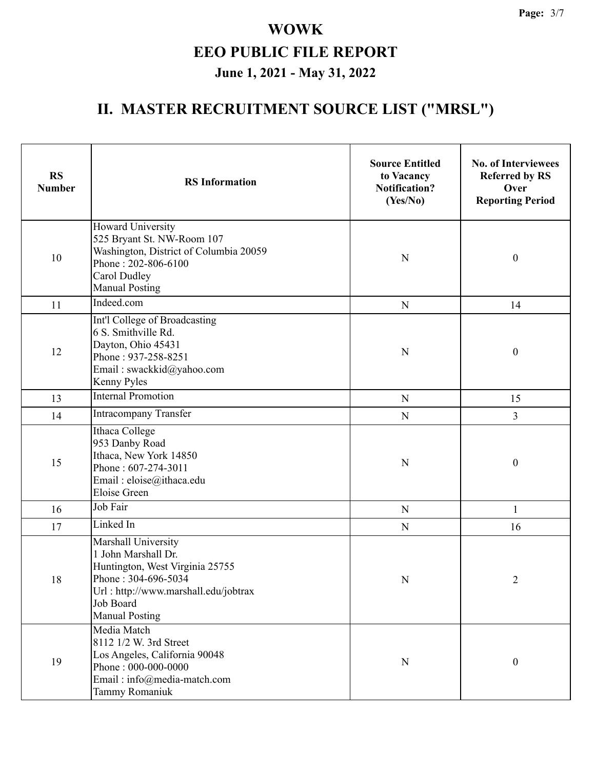| <b>RS</b><br><b>Number</b> | <b>RS</b> Information                                                                                                                                                              | <b>Source Entitled</b><br>to Vacancy<br><b>Notification?</b><br>(Yes/No) | <b>No. of Interviewees</b><br><b>Referred by RS</b><br>Over<br><b>Reporting Period</b> |
|----------------------------|------------------------------------------------------------------------------------------------------------------------------------------------------------------------------------|--------------------------------------------------------------------------|----------------------------------------------------------------------------------------|
| 10                         | Howard University<br>525 Bryant St. NW-Room 107<br>Washington, District of Columbia 20059<br>Phone: 202-806-6100<br>Carol Dudley<br><b>Manual Posting</b>                          | $\mathbf N$                                                              | $\boldsymbol{0}$                                                                       |
| 11                         | Indeed.com                                                                                                                                                                         | ${\bf N}$                                                                | 14                                                                                     |
| 12                         | Int'l College of Broadcasting<br>6 S. Smithville Rd.<br>Dayton, Ohio 45431<br>Phone: 937-258-8251<br>Email: swackkid@yahoo.com<br>Kenny Pyles                                      | N                                                                        | $\boldsymbol{0}$                                                                       |
| 13                         | <b>Internal Promotion</b>                                                                                                                                                          | ${\bf N}$                                                                | 15                                                                                     |
| 14                         | Intracompany Transfer                                                                                                                                                              | ${\bf N}$                                                                | 3                                                                                      |
| 15                         | Ithaca College<br>953 Danby Road<br>Ithaca, New York 14850<br>Phone: 607-274-3011<br>Email: eloise@ithaca.edu<br><b>Eloise Green</b>                                               | N                                                                        | $\boldsymbol{0}$                                                                       |
| 16                         | Job Fair                                                                                                                                                                           | $\mathbf N$                                                              | 1                                                                                      |
| 17                         | Linked In                                                                                                                                                                          | ${\bf N}$                                                                | 16                                                                                     |
| $18\,$                     | Marshall University<br>1 John Marshall Dr.<br>Huntington, West Virginia 25755<br>Phone: 304-696-5034<br>Url: http://www.marshall.edu/jobtrax<br>Job Board<br><b>Manual Posting</b> | N                                                                        | $\overline{c}$                                                                         |
| 19                         | Media Match<br>8112 1/2 W. 3rd Street<br>Los Angeles, California 90048<br>Phone: 000-000-0000<br>Email: info@media-match.com<br>Tammy Romaniuk                                     | ${\bf N}$                                                                | $\boldsymbol{0}$                                                                       |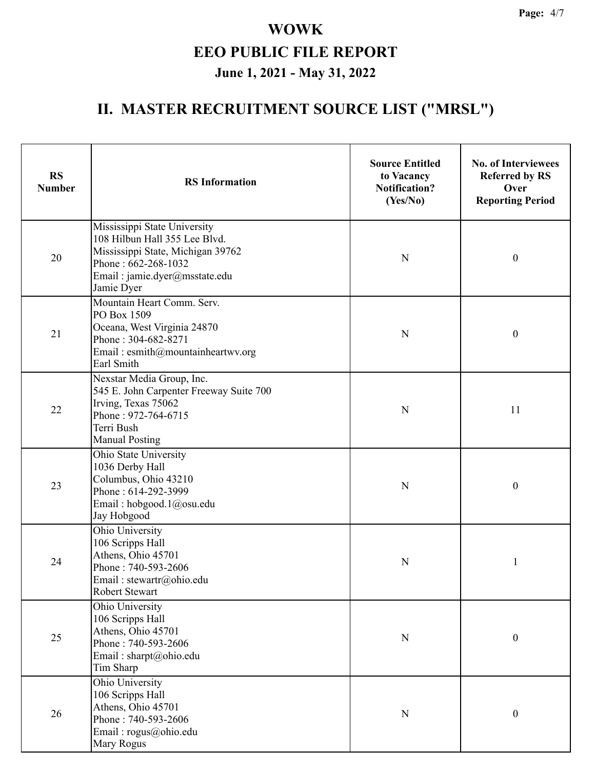| <b>RS</b><br><b>Number</b> | <b>RS</b> Information                                                                                                                                                    | <b>Source Entitled</b><br>to Vacancy<br><b>Notification?</b><br>(Yes/No) | <b>No. of Interviewees</b><br><b>Referred by RS</b><br>Over<br><b>Reporting Period</b> |
|----------------------------|--------------------------------------------------------------------------------------------------------------------------------------------------------------------------|--------------------------------------------------------------------------|----------------------------------------------------------------------------------------|
| 20                         | Mississippi State University<br>108 Hilbun Hall 355 Lee Blvd.<br>Mississippi State, Michigan 39762<br>Phone: 662-268-1032<br>Email: jamie.dyer@msstate.edu<br>Jamie Dyer | N                                                                        | $\boldsymbol{0}$                                                                       |
| 21                         | Mountain Heart Comm. Serv.<br>PO Box 1509<br>Oceana, West Virginia 24870<br>Phone: 304-682-8271<br>Email: esmith@mountainheartwv.org<br>Earl Smith                       | N                                                                        | $\boldsymbol{0}$                                                                       |
| 22                         | Nexstar Media Group, Inc.<br>545 E. John Carpenter Freeway Suite 700<br>Irving, Texas 75062<br>Phone: 972-764-6715<br>Terri Bush<br><b>Manual Posting</b>                | $\mathbf N$                                                              | 11                                                                                     |
| 23                         | Ohio State University<br>1036 Derby Hall<br>Columbus, Ohio 43210<br>Phone: 614-292-3999<br>Email: hobgood.1@osu.edu<br>Jay Hobgood                                       | $\mathbf N$                                                              | $\boldsymbol{0}$                                                                       |
| 24                         | Ohio University<br>106 Scripps Hall<br>Athens, Ohio 45701<br>Phone: 740-593-2606<br>Email: stewartr@ohio.edu<br>Robert Stewart                                           | N                                                                        | $\mathbf{1}$                                                                           |
| 25                         | Ohio University<br>106 Scripps Hall<br>Athens, Ohio 45701<br>Phone: 740-593-2606<br>Email: sharpt@ohio.edu<br>Tim Sharp                                                  | ${\bf N}$                                                                | $\boldsymbol{0}$                                                                       |
| 26                         | Ohio University<br>106 Scripps Hall<br>Athens, Ohio 45701<br>Phone: 740-593-2606<br>Email: rogus@ohio.edu<br>Mary Rogus                                                  | ${\bf N}$                                                                | $\boldsymbol{0}$                                                                       |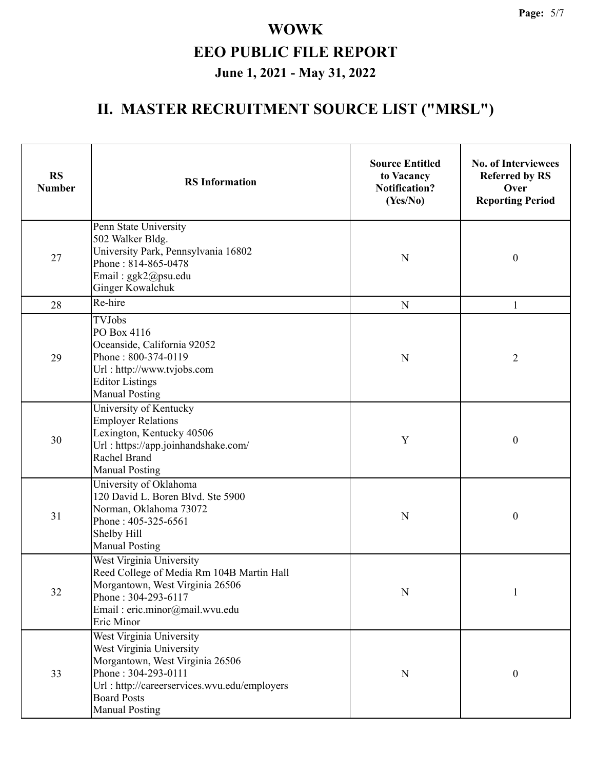| <b>RS</b><br><b>Number</b> | <b>RS</b> Information                                                                                                                                                                                         | <b>Source Entitled</b><br>to Vacancy<br><b>Notification?</b><br>(Yes/No) | <b>No. of Interviewees</b><br><b>Referred by RS</b><br>Over<br><b>Reporting Period</b> |  |
|----------------------------|---------------------------------------------------------------------------------------------------------------------------------------------------------------------------------------------------------------|--------------------------------------------------------------------------|----------------------------------------------------------------------------------------|--|
| 27                         | Penn State University<br>502 Walker Bldg.<br>University Park, Pennsylvania 16802<br>Phone: 814-865-0478<br>Email: ggk2@psu.edu<br>Ginger Kowalchuk                                                            | N                                                                        | $\boldsymbol{0}$                                                                       |  |
| 28                         | Re-hire                                                                                                                                                                                                       | ${\bf N}$                                                                | 1                                                                                      |  |
| 29                         | <b>TVJobs</b><br>PO Box 4116<br>Oceanside, California 92052<br>Phone: 800-374-0119<br>Url: http://www.tvjobs.com<br><b>Editor Listings</b><br><b>Manual Posting</b>                                           | $\mathbf N$                                                              | $\overline{2}$                                                                         |  |
| 30                         | University of Kentucky<br><b>Employer Relations</b><br>Lexington, Kentucky 40506<br>Url: https://app.joinhandshake.com/<br>Rachel Brand<br><b>Manual Posting</b>                                              | Y                                                                        | $\boldsymbol{0}$                                                                       |  |
| 31                         | University of Oklahoma<br>120 David L. Boren Blvd. Ste 5900<br>Norman, Oklahoma 73072<br>Phone: 405-325-6561<br>Shelby Hill<br><b>Manual Posting</b>                                                          | N                                                                        | $\boldsymbol{0}$                                                                       |  |
| 32                         | West Virginia University<br>Reed College of Media Rm 104B Martin Hall<br>Morgantown, West Virginia 26506<br>Phone: 304-293-6117<br>Email: eric.minor@mail.wvu.edu<br>Eric Minor                               | ${\bf N}$                                                                |                                                                                        |  |
| 33                         | West Virginia University<br>West Virginia University<br>Morgantown, West Virginia 26506<br>Phone: 304-293-0111<br>Url: http://careerservices.wvu.edu/employers<br><b>Board Posts</b><br><b>Manual Posting</b> | ${\bf N}$                                                                | $\boldsymbol{0}$                                                                       |  |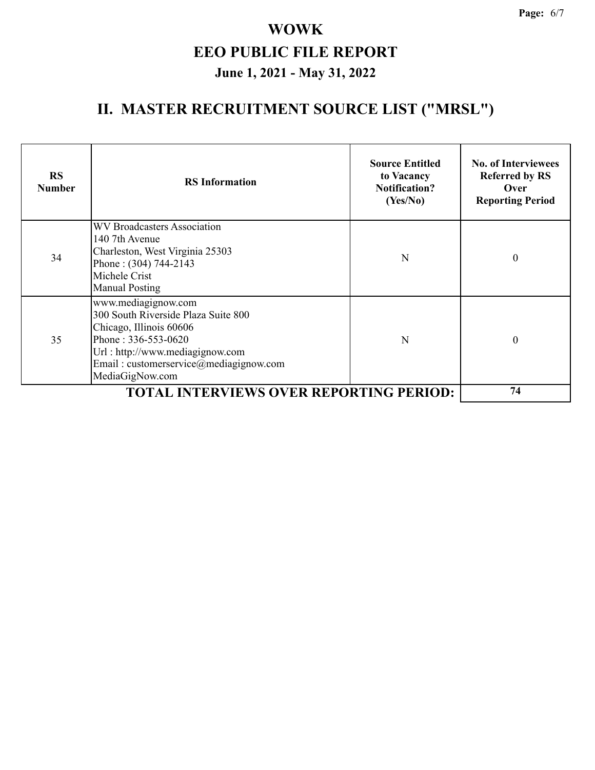| <b>RS</b><br><b>Number</b> | <b>RS</b> Information                                                                                                                                                                                        | <b>Source Entitled</b><br>to Vacancy<br><b>Notification?</b><br>(Yes/No) | <b>No. of Interviewees</b><br><b>Referred by RS</b><br>Over<br><b>Reporting Period</b> |
|----------------------------|--------------------------------------------------------------------------------------------------------------------------------------------------------------------------------------------------------------|--------------------------------------------------------------------------|----------------------------------------------------------------------------------------|
| 34                         | WV Broadcasters Association<br>140 7th Avenue<br>Charleston, West Virginia 25303<br>Phone: (304) 744-2143<br>Michele Crist<br><b>Manual Posting</b>                                                          | N                                                                        | $\mathbf{0}$                                                                           |
| 35                         | www.mediagignow.com<br>300 South Riverside Plaza Suite 800<br>Chicago, Illinois 60606<br>Phone: 336-553-0620<br>Url: http://www.mediagignow.com<br>Email: customerservice@mediagignow.com<br>MediaGigNow.com | N                                                                        | $\Omega$                                                                               |
|                            | <b>TOTAL INTERVIEWS OVER REPORTING PERIOD:</b>                                                                                                                                                               |                                                                          | 74                                                                                     |